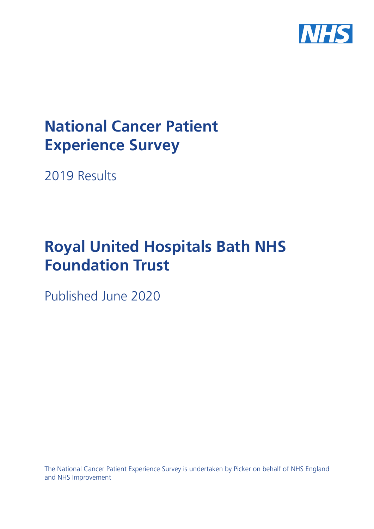

# **National Cancer Patient Experience Survey**

2019 Results

# **Royal United Hospitals Bath NHS Foundation Trust**

Published June 2020

The National Cancer Patient Experience Survey is undertaken by Picker on behalf of NHS England and NHS Improvement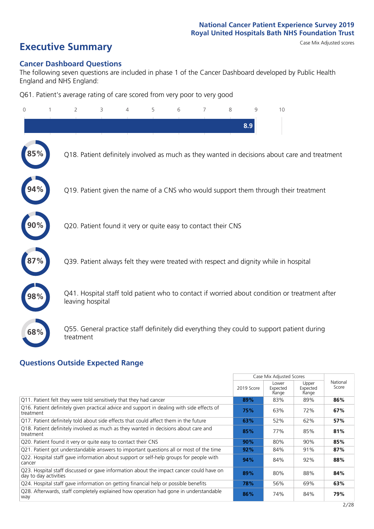# **Executive Summary** Case Mix Adjusted scores

### **Cancer Dashboard Questions**

The following seven questions are included in phase 1 of the Cancer Dashboard developed by Public Health England and NHS England:

Q61. Patient's average rating of care scored from very poor to very good

| $\Omega$ | 2                                                             | 3 | $\overline{4}$ | 5 | 6 | 8 | 9   | 10                                                                                            |  |
|----------|---------------------------------------------------------------|---|----------------|---|---|---|-----|-----------------------------------------------------------------------------------------------|--|
|          |                                                               |   |                |   |   |   | 8.9 |                                                                                               |  |
|          |                                                               |   |                |   |   |   |     | Q18. Patient definitely involved as much as they wanted in decisions about care and treatment |  |
|          |                                                               |   |                |   |   |   |     | Q19. Patient given the name of a CNS who would support them through their treatment           |  |
|          | Q20. Patient found it very or quite easy to contact their CNS |   |                |   |   |   |     |                                                                                               |  |
|          |                                                               |   |                |   |   |   |     | Q39. Patient always felt they were treated with respect and dignity while in hospital         |  |
| 98%      | leaving hospital                                              |   |                |   |   |   |     | Q41. Hospital staff told patient who to contact if worried about condition or treatment after |  |
| 68%      | treatment                                                     |   |                |   |   |   |     | Q55. General practice staff definitely did everything they could to support patient during    |  |

### **Questions Outside Expected Range**

|                                                                                                                  |            | Case Mix Adjusted Scores   |                            |                   |
|------------------------------------------------------------------------------------------------------------------|------------|----------------------------|----------------------------|-------------------|
|                                                                                                                  | 2019 Score | Lower<br>Expected<br>Range | Upper<br>Expected<br>Range | National<br>Score |
| Q11. Patient felt they were told sensitively that they had cancer                                                | 89%        | 83%                        | 89%                        | 86%               |
| Q16. Patient definitely given practical advice and support in dealing with side effects of<br>treatment          | 75%        | 63%                        | 72%                        | 67%               |
| Q17. Patient definitely told about side effects that could affect them in the future                             | 63%        | 52%                        | 62%                        | 57%               |
| Q18. Patient definitely involved as much as they wanted in decisions about care and<br>treatment                 | 85%        | 77%                        | 85%                        | 81%               |
| Q20. Patient found it very or quite easy to contact their CNS                                                    | 90%        | 80%                        | 90%                        | 85%               |
| Q21. Patient got understandable answers to important questions all or most of the time                           | 92%        | 84%                        | 91%                        | 87%               |
| Q22. Hospital staff gave information about support or self-help groups for people with<br>cancer                 | 94%        | 84%                        | 92%                        | 88%               |
| Q23. Hospital staff discussed or gave information about the impact cancer could have on<br>day to day activities | 89%        | 80%                        | 88%                        | 84%               |
| Q24. Hospital staff gave information on getting financial help or possible benefits                              | 78%        | 56%                        | 69%                        | 63%               |
| Q28. Afterwards, staff completely explained how operation had gone in understandable<br>way                      | 86%        | 74%                        | 84%                        | 79%               |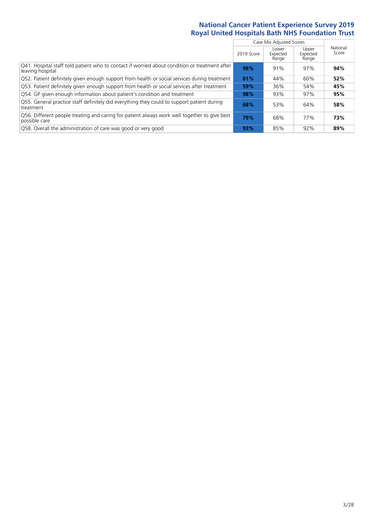|                                                                                                                   |            | Case Mix Adjusted Scores   |                            |                   |
|-------------------------------------------------------------------------------------------------------------------|------------|----------------------------|----------------------------|-------------------|
|                                                                                                                   | 2019 Score | Lower<br>Expected<br>Range | Upper<br>Expected<br>Range | National<br>Score |
| Q41. Hospital staff told patient who to contact if worried about condition or treatment after<br>leaving hospital | 98%        | 91%                        | 97%                        | 94%               |
| Q52. Patient definitely given enough support from health or social services during treatment                      | 61%        | 44%                        | 60%                        | 52%               |
| Q53. Patient definitely given enough support from health or social services after treatment                       | 59%        | 36%                        | 54%                        | 45%               |
| Q54. GP given enough information about patient's condition and treatment                                          | 98%        | 93%                        | 97%                        | 95%               |
| Q55. General practice staff definitely did everything they could to support patient during<br>treatment           | 68%        | 53%                        | 64%                        | 58%               |
| Q56. Different people treating and caring for patient always work well together to give best<br>possible care     | 79%        | 68%                        | 77%                        | 73%               |
| Q58. Overall the administration of care was good or very good                                                     | 93%        | 85%                        | 92%                        | 89%               |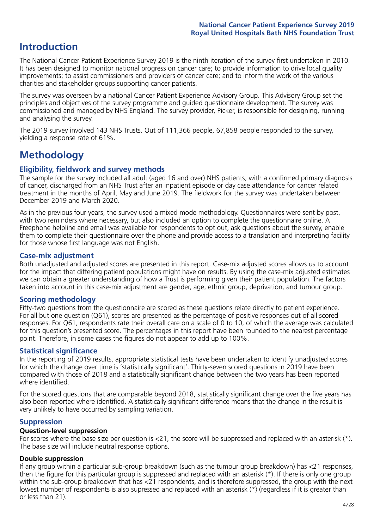## **Introduction**

The National Cancer Patient Experience Survey 2019 is the ninth iteration of the survey first undertaken in 2010. It has been designed to monitor national progress on cancer care; to provide information to drive local quality improvements; to assist commissioners and providers of cancer care; and to inform the work of the various charities and stakeholder groups supporting cancer patients.

The survey was overseen by a national Cancer Patient Experience Advisory Group. This Advisory Group set the principles and objectives of the survey programme and guided questionnaire development. The survey was commissioned and managed by NHS England. The survey provider, Picker, is responsible for designing, running and analysing the survey.

The 2019 survey involved 143 NHS Trusts. Out of 111,366 people, 67,858 people responded to the survey, yielding a response rate of 61%.

# **Methodology**

### **Eligibility, eldwork and survey methods**

The sample for the survey included all adult (aged 16 and over) NHS patients, with a confirmed primary diagnosis of cancer, discharged from an NHS Trust after an inpatient episode or day case attendance for cancer related treatment in the months of April, May and June 2019. The fieldwork for the survey was undertaken between December 2019 and March 2020.

As in the previous four years, the survey used a mixed mode methodology. Questionnaires were sent by post, with two reminders where necessary, but also included an option to complete the questionnaire online. A Freephone helpline and email was available for respondents to opt out, ask questions about the survey, enable them to complete their questionnaire over the phone and provide access to a translation and interpreting facility for those whose first language was not English.

### **Case-mix adjustment**

Both unadjusted and adjusted scores are presented in this report. Case-mix adjusted scores allows us to account for the impact that differing patient populations might have on results. By using the case-mix adjusted estimates we can obtain a greater understanding of how a Trust is performing given their patient population. The factors taken into account in this case-mix adjustment are gender, age, ethnic group, deprivation, and tumour group.

### **Scoring methodology**

Fifty-two questions from the questionnaire are scored as these questions relate directly to patient experience. For all but one question (Q61), scores are presented as the percentage of positive responses out of all scored responses. For Q61, respondents rate their overall care on a scale of 0 to 10, of which the average was calculated for this question's presented score. The percentages in this report have been rounded to the nearest percentage point. Therefore, in some cases the figures do not appear to add up to 100%.

### **Statistical significance**

In the reporting of 2019 results, appropriate statistical tests have been undertaken to identify unadjusted scores for which the change over time is 'statistically significant'. Thirty-seven scored questions in 2019 have been compared with those of 2018 and a statistically significant change between the two years has been reported where identified.

For the scored questions that are comparable beyond 2018, statistically significant change over the five years has also been reported where identified. A statistically significant difference means that the change in the result is very unlikely to have occurred by sampling variation.

### **Suppression**

### **Question-level suppression**

For scores where the base size per question is  $<$ 21, the score will be suppressed and replaced with an asterisk (\*). The base size will include neutral response options.

### **Double suppression**

If any group within a particular sub-group breakdown (such as the tumour group breakdown) has <21 responses, then the figure for this particular group is suppressed and replaced with an asterisk (\*). If there is only one group within the sub-group breakdown that has <21 respondents, and is therefore suppressed, the group with the next lowest number of respondents is also supressed and replaced with an asterisk (\*) (regardless if it is greater than or less than 21).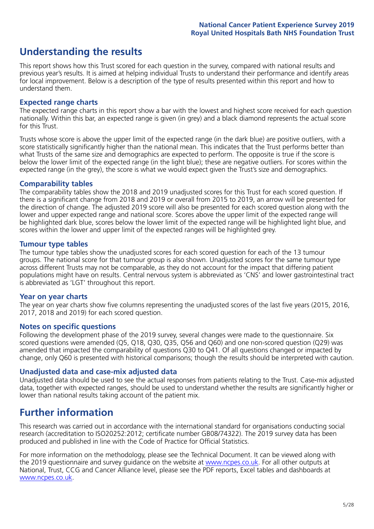## **Understanding the results**

This report shows how this Trust scored for each question in the survey, compared with national results and previous year's results. It is aimed at helping individual Trusts to understand their performance and identify areas for local improvement. Below is a description of the type of results presented within this report and how to understand them.

### **Expected range charts**

The expected range charts in this report show a bar with the lowest and highest score received for each question nationally. Within this bar, an expected range is given (in grey) and a black diamond represents the actual score for this Trust.

Trusts whose score is above the upper limit of the expected range (in the dark blue) are positive outliers, with a score statistically significantly higher than the national mean. This indicates that the Trust performs better than what Trusts of the same size and demographics are expected to perform. The opposite is true if the score is below the lower limit of the expected range (in the light blue); these are negative outliers. For scores within the expected range (in the grey), the score is what we would expect given the Trust's size and demographics.

### **Comparability tables**

The comparability tables show the 2018 and 2019 unadjusted scores for this Trust for each scored question. If there is a significant change from 2018 and 2019 or overall from 2015 to 2019, an arrow will be presented for the direction of change. The adjusted 2019 score will also be presented for each scored question along with the lower and upper expected range and national score. Scores above the upper limit of the expected range will be highlighted dark blue, scores below the lower limit of the expected range will be highlighted light blue, and scores within the lower and upper limit of the expected ranges will be highlighted grey.

### **Tumour type tables**

The tumour type tables show the unadjusted scores for each scored question for each of the 13 tumour groups. The national score for that tumour group is also shown. Unadjusted scores for the same tumour type across different Trusts may not be comparable, as they do not account for the impact that differing patient populations might have on results. Central nervous system is abbreviated as 'CNS' and lower gastrointestinal tract is abbreviated as 'LGT' throughout this report.

### **Year on year charts**

The year on year charts show five columns representing the unadjusted scores of the last five years (2015, 2016, 2017, 2018 and 2019) for each scored question.

### **Notes on specific questions**

Following the development phase of the 2019 survey, several changes were made to the questionnaire. Six scored questions were amended (Q5, Q18, Q30, Q35, Q56 and Q60) and one non-scored question (Q29) was amended that impacted the comparability of questions Q30 to Q41. Of all questions changed or impacted by change, only Q60 is presented with historical comparisons; though the results should be interpreted with caution.

### **Unadjusted data and case-mix adjusted data**

Unadjusted data should be used to see the actual responses from patients relating to the Trust. Case-mix adjusted data, together with expected ranges, should be used to understand whether the results are significantly higher or lower than national results taking account of the patient mix.

### **Further information**

This research was carried out in accordance with the international standard for organisations conducting social research (accreditation to ISO20252:2012; certificate number GB08/74322). The 2019 survey data has been produced and published in line with the Code of Practice for Official Statistics.

For more information on the methodology, please see the Technical Document. It can be viewed along with the 2019 questionnaire and survey quidance on the website at [www.ncpes.co.uk](https://www.ncpes.co.uk/supporting-documents). For all other outputs at National, Trust, CCG and Cancer Alliance level, please see the PDF reports, Excel tables and dashboards at [www.ncpes.co.uk.](https://www.ncpes.co.uk/current-results)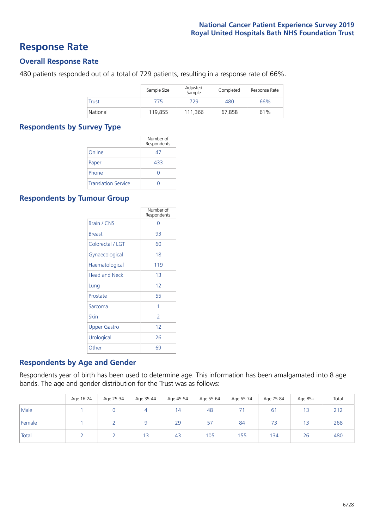### **Response Rate**

### **Overall Response Rate**

480 patients responded out of a total of 729 patients, resulting in a response rate of 66%.

|          | Sample Size | Adjusted<br>Sample | Completed | Response Rate |
|----------|-------------|--------------------|-----------|---------------|
| Trust    | 775         | 729                | 480       | 66%           |
| National | 119,855     | 111.366            | 67.858    | 61%           |

### **Respondents by Survey Type**

|                            | Number of<br>Respondents |
|----------------------------|--------------------------|
| Online                     | 47                       |
| Paper                      | 433                      |
| Phone                      | $\left( \right)$         |
| <b>Translation Service</b> |                          |

### **Respondents by Tumour Group**

|                      | Number of<br>Respondents |
|----------------------|--------------------------|
| Brain / CNS          | ∩                        |
| <b>Breast</b>        | 93                       |
| Colorectal / LGT     | 60                       |
| Gynaecological       | 18                       |
| Haematological       | 119                      |
| <b>Head and Neck</b> | 1 <sub>3</sub>           |
| Lung                 | 12                       |
| Prostate             | 55                       |
| Sarcoma              | 1                        |
| Skin                 | $\overline{2}$           |
| <b>Upper Gastro</b>  | 12                       |
| Urological           | 26                       |
| Other                | 69                       |

### **Respondents by Age and Gender**

Respondents year of birth has been used to determine age. This information has been amalgamated into 8 age bands. The age and gender distribution for the Trust was as follows:

|        | Age 16-24 | Age 25-34 | Age 35-44 | Age 45-54 | Age 55-64 | Age 65-74 | Age 75-84      | Age 85+ | Total |
|--------|-----------|-----------|-----------|-----------|-----------|-----------|----------------|---------|-------|
| Male   |           |           | 4         | 14        | 48        |           | 6 <sup>1</sup> | 13      | 212   |
| Female |           |           |           | 29        | 57        | 84        | 73             | 13      | 268   |
| Total  |           |           | 13        | 43        | 105       | 155       | 134            | 26      | 480   |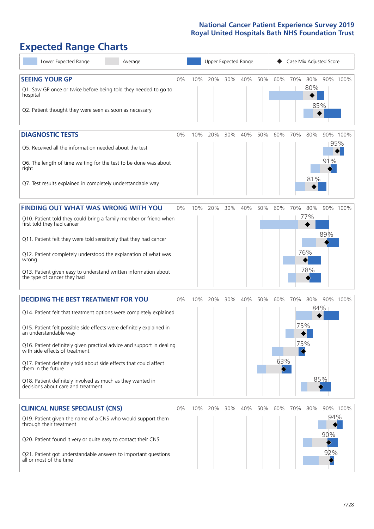# **Expected Range Charts**

| Lower Expected Range<br>Average                                                                                                                                                                                                                                                                                                                                                                                                                                                                                             |       |     | Upper Expected Range |     |     |     | Case Mix Adjusted Score |          |                          |                        |                 |  |
|-----------------------------------------------------------------------------------------------------------------------------------------------------------------------------------------------------------------------------------------------------------------------------------------------------------------------------------------------------------------------------------------------------------------------------------------------------------------------------------------------------------------------------|-------|-----|----------------------|-----|-----|-----|-------------------------|----------|--------------------------|------------------------|-----------------|--|
| <b>SEEING YOUR GP</b><br>Q1. Saw GP once or twice before being told they needed to go to<br>hospital<br>Q2. Patient thought they were seen as soon as necessary                                                                                                                                                                                                                                                                                                                                                             | $0\%$ | 10% | 20%                  | 30% | 40% | 50% | 60%                     | 70%      | 80%<br>80%<br>85%        | 90% 100%               |                 |  |
| <b>DIAGNOSTIC TESTS</b><br>Q5. Received all the information needed about the test<br>Q6. The length of time waiting for the test to be done was about<br>right<br>Q7. Test results explained in completely understandable way                                                                                                                                                                                                                                                                                               | $0\%$ | 10% | 20%                  | 30% | 40% | 50% | 60%                     | 70%      | 80%<br>81%               | 91%                    | 90% 100%<br>95% |  |
| <b>FINDING OUT WHAT WAS WRONG WITH YOU</b><br>Q10. Patient told they could bring a family member or friend when<br>first told they had cancer<br>Q11. Patient felt they were told sensitively that they had cancer<br>Q12. Patient completely understood the explanation of what was<br>wrong<br>Q13. Patient given easy to understand written information about<br>the type of cancer they had                                                                                                                             | 0%    | 10% | 20%                  | 30% | 40% | 50% | 60%                     | 70%      | 80%<br>77%<br>76%<br>78% | 89%                    | 90% 100%        |  |
| <b>DECIDING THE BEST TREATMENT FOR YOU</b><br>Q14. Patient felt that treatment options were completely explained<br>Q15. Patient felt possible side effects were definitely explained in<br>an understandable way<br>Q16. Patient definitely given practical advice and support in dealing<br>with side effects of treatment<br>Q17. Patient definitely told about side effects that could affect<br>them in the future<br>Q18. Patient definitely involved as much as they wanted in<br>decisions about care and treatment | $0\%$ | 10% | 20%                  | 30% | 40% | 50% | 60%<br>63%              | 70%<br>♦ | 80%<br>75%<br>75%        | 90% 100%<br>84%<br>85% |                 |  |
| <b>CLINICAL NURSE SPECIALIST (CNS)</b><br>Q19. Patient given the name of a CNS who would support them<br>through their treatment<br>Q20. Patient found it very or quite easy to contact their CNS<br>Q21. Patient got understandable answers to important questions<br>all or most of the time                                                                                                                                                                                                                              | $0\%$ | 10% | 20%                  | 30% | 40% | 50% | 60%                     | 70%      | 80%                      | 94%<br>90%<br>92%      | 90% 100%        |  |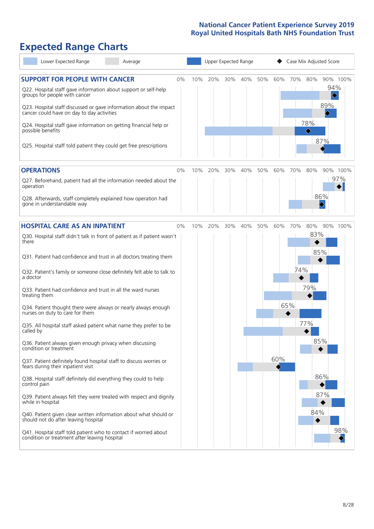# **Expected Range Charts**

| Lower Expected Range<br>Average                                                                                   | Upper Expected Range |     |     |     |     |     | Case Mix Adjusted Score |          |          |  |  |
|-------------------------------------------------------------------------------------------------------------------|----------------------|-----|-----|-----|-----|-----|-------------------------|----------|----------|--|--|
| <b>SUPPORT FOR PEOPLE WITH CANCER</b><br>0%                                                                       | 10%                  | 20% | 30% | 40% | 50% | 60% | 70%                     | 80%      | 90% 100% |  |  |
| Q22. Hospital staff gave information about support or self-help<br>groups for people with cancer                  |                      |     |     |     |     |     |                         |          | 94%      |  |  |
| Q23. Hospital staff discussed or gave information about the impact<br>cancer could have on day to day activities  |                      |     |     |     |     |     |                         |          | 89%<br>♦ |  |  |
| Q24. Hospital staff gave information on getting financial help or<br>possible benefits                            |                      |     |     |     |     |     |                         | 78%<br>♦ |          |  |  |
| Q25. Hospital staff told patient they could get free prescriptions                                                |                      |     |     |     |     |     |                         |          | 87%      |  |  |
| <b>OPERATIONS</b><br>$0\%$                                                                                        | 10%                  | 20% | 30% | 40% | 50% | 60% | 70%                     | 80%      | 90% 100% |  |  |
| Q27. Beforehand, patient had all the information needed about the<br>operation                                    |                      |     |     |     |     |     |                         |          | 97%      |  |  |
| Q28. Afterwards, staff completely explained how operation had<br>gone in understandable way                       |                      |     |     |     |     |     |                         |          | 86%      |  |  |
| <b>HOSPITAL CARE AS AN INPATIENT</b><br>0%                                                                        | 10%                  | 20% | 30% | 40% | 50% | 60% | 70%                     | 80%      | 90% 100% |  |  |
| Q30. Hospital staff didn't talk in front of patient as if patient wasn't<br>there                                 |                      |     |     |     |     |     |                         | 83%      |          |  |  |
| Q31. Patient had confidence and trust in all doctors treating them                                                |                      |     |     |     |     |     |                         | 85%      |          |  |  |
| Q32. Patient's family or someone close definitely felt able to talk to<br>a doctor                                |                      |     |     |     |     |     | 74%                     |          |          |  |  |
| Q33. Patient had confidence and trust in all the ward nurses<br>treating them                                     |                      |     |     |     |     |     |                         | 79%      |          |  |  |
| Q34. Patient thought there were always or nearly always enough<br>nurses on duty to care for them                 |                      |     |     |     |     |     | 65%                     |          |          |  |  |
| Q35. All hospital staff asked patient what name they prefer to be<br>called by                                    |                      |     |     |     |     |     |                         | 77%      |          |  |  |
| Q36. Patient always given enough privacy when discussing<br>condition or treatment                                |                      |     |     |     |     |     |                         | 85%      |          |  |  |
| Q37. Patient definitely found hospital staff to discuss worries or<br>fears during their inpatient visit          |                      |     |     |     |     | 60% |                         |          |          |  |  |
| Q38. Hospital staff definitely did everything they could to help<br>control pain                                  |                      |     |     |     |     |     |                         |          | 86%      |  |  |
| Q39. Patient always felt they were treated with respect and dignity<br>while in hospital                          |                      |     |     |     |     |     |                         |          | 87%      |  |  |
| Q40. Patient given clear written information about what should or<br>should not do after leaving hospital         |                      |     |     |     |     |     |                         | 84%      |          |  |  |
| Q41. Hospital staff told patient who to contact if worried about<br>condition or treatment after leaving hospital |                      |     |     |     |     |     |                         |          | 98%      |  |  |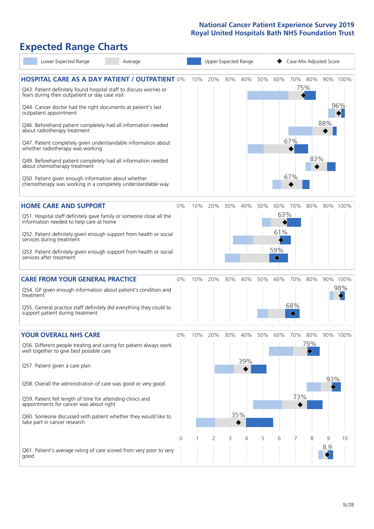# **Expected Range Charts**

| Lower Expected Range<br>Average                                                                                       |                |        | Upper Expected Range |     |     |     |                   |          |          | Case Mix Adjusted Score |          |
|-----------------------------------------------------------------------------------------------------------------------|----------------|--------|----------------------|-----|-----|-----|-------------------|----------|----------|-------------------------|----------|
| <b>HOSPITAL CARE AS A DAY PATIENT / OUTPATIENT 0%</b>                                                                 |                | 10%    | 20%                  | 30% | 40% | 50% | 60%               |          | 70% 80%  |                         | 90% 100% |
| Q43. Patient definitely found hospital staff to discuss worries or<br>fears during their outpatient or day case visit |                |        |                      |     |     |     |                   |          | $ 75\% $ |                         |          |
| Q44. Cancer doctor had the right documents at patient's last<br>outpatient appointment                                |                |        |                      |     |     |     |                   |          |          |                         | 96%      |
| Q46. Beforehand patient completely had all information needed<br>about radiotherapy treatment                         |                |        |                      |     |     |     |                   |          |          | 88%                     |          |
| Q47. Patient completely given understandable information about<br>whether radiotherapy was working                    |                |        |                      |     |     |     |                   | 67%      |          |                         |          |
| Q49. Beforehand patient completely had all information needed<br>about chemotherapy treatment                         |                |        |                      |     |     |     |                   |          | 83%      |                         |          |
| Q50. Patient given enough information about whether<br>chemotherapy was working in a completely understandable way    |                |        |                      |     |     |     |                   | 67%      |          |                         |          |
| <b>HOME CARE AND SUPPORT</b>                                                                                          | 0%             | 10%    | 20%                  | 30% | 40% | 50% | 60%               | 70%      | 80%      |                         | 90% 100% |
| Q51. Hospital staff definitely gave family or someone close all the<br>information needed to help care at home        |                |        |                      |     |     |     | 63%               |          |          |                         |          |
| Q52. Patient definitely given enough support from health or social<br>services during treatment                       |                |        |                      |     |     |     | 61%               |          |          |                         |          |
| Q53. Patient definitely given enough support from health or social<br>services after treatment                        |                |        |                      |     |     |     | 59%<br>$\Diamond$ |          |          |                         |          |
| <b>CARE FROM YOUR GENERAL PRACTICE</b>                                                                                | $0\%$          | 10%    | 20%                  | 30% | 40% | 50% | 60%               | 70%      | 80%      |                         | 90% 100% |
| Q54. GP given enough information about patient's condition and<br>treatment                                           |                |        |                      |     |     |     |                   |          |          |                         | 98%      |
| Q55. General practice staff definitely did everything they could to<br>support patient during treatment               |                |        |                      |     |     |     |                   | 68%<br>◇ |          |                         |          |
| <b>YOUR OVERALL NHS CARE</b>                                                                                          | 0%             | $10\%$ | 20%                  | 30% | 40% | 50% | 60%               | 70%      | 80%      |                         | 90% 100% |
| Q56. Different people treating and caring for patient always work<br>well together to give best possible care         |                |        |                      |     |     |     |                   |          | 79%      |                         |          |
| Q57. Patient given a care plan                                                                                        |                |        |                      |     | 39% |     |                   |          |          |                         |          |
| Q58. Overall the administration of care was good or very good                                                         |                |        |                      |     |     |     |                   |          |          | 93%                     |          |
| Q59. Patient felt length of time for attending clinics and<br>appointments for cancer was about right                 |                |        |                      |     |     |     |                   | 73%      |          |                         |          |
| Q60. Someone discussed with patient whether they would like to<br>take part in cancer research                        |                |        |                      |     | 35% |     |                   |          |          |                         |          |
|                                                                                                                       | $\overline{0}$ |        | 2                    | 3   | 4   | 5   | 6                 | 7        | 8        | 9                       | 10       |
| Q61. Patient's average rating of care scored from very poor to very<br>good                                           |                |        |                      |     |     |     |                   |          |          | 8.9                     |          |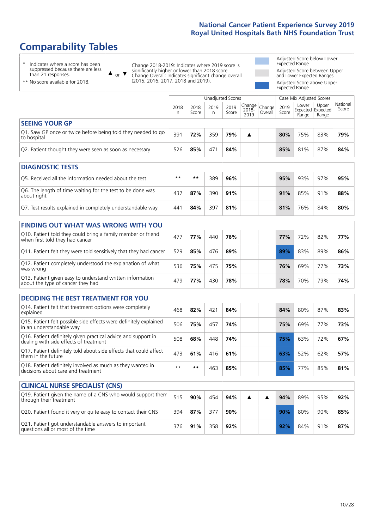# **Comparability Tables**

\* Indicates where a score has been suppressed because there are less than 21 responses.

\*\* No score available for 2018.

 $\triangle$  or  $\nabla$ 

Change 2018-2019: Indicates where 2019 score is significantly higher or lower than 2018 score Change Overall: Indicates significant change overall (2015, 2016, 2017, 2018 and 2019).

Adjusted Score below Lower Expected Range Adjusted Score between Upper and Lower Expected Ranges Adjusted Score above Upper Expected Range

|                                                                             |           |               | Unadjusted Scores |               |                                                 |         |               | Case Mix Adjusted Scores            |                |                   |  |
|-----------------------------------------------------------------------------|-----------|---------------|-------------------|---------------|-------------------------------------------------|---------|---------------|-------------------------------------|----------------|-------------------|--|
|                                                                             | 2018<br>n | 2018<br>Score | 2019<br>n         | 2019<br>Score | $  \overline{Change}  $ Change<br>2018-<br>2019 | Overall | 2019<br>Score | Lower<br>Expected Expected<br>Range | Upper<br>Range | National<br>Score |  |
| <b>SEEING YOUR GP</b>                                                       |           |               |                   |               |                                                 |         |               |                                     |                |                   |  |
| Q1. Saw GP once or twice before being told they needed to go<br>to hospital | 391       | 72%           | 359               | 79%           | ▲                                               |         | 80%           | 75%                                 | 83%            | 79%               |  |
| Q2. Patient thought they were seen as soon as necessary                     | 526       | 85%           | 471               | 84%           |                                                 |         | 85%           | 81%                                 | 87%            | 84%               |  |
| <b>DIAGNOSTIC TESTS</b>                                                     |           |               |                   |               |                                                 |         |               |                                     |                |                   |  |
| Q5. Received all the information needed about the test                      | $***$     | **            | 389               | 96%           |                                                 |         | 95%           | 93%                                 | 97%            | 95%               |  |

| Q5. Received all the implifiation needed about the test                   | .     | .   | כסכ | 90% |  | 9370 D | - 20 70 | <b>9770</b> | ו ס7כופ |
|---------------------------------------------------------------------------|-------|-----|-----|-----|--|--------|---------|-------------|---------|
| O6. The length of time waiting for the test to be done was<br>about right | $43-$ | 87% | 390 | 91% |  | 91%    | 85%     | 91%         | 88%     |
| Q7. Test results explained in completely understandable way               | 441   | 84% | 397 | 81% |  | 81%    | 76%     | 84%         | 80%     |

| <b>FINDING OUT WHAT WAS WRONG WITH YOU</b>                                                      |     |     |     |     |     |     |     |     |
|-------------------------------------------------------------------------------------------------|-----|-----|-----|-----|-----|-----|-----|-----|
| Q10. Patient told they could bring a family member or friend<br>when first told they had cancer | 477 | 77% | 440 | 76% | 77% | 72% | 82% | 77% |
| Q11. Patient felt they were told sensitively that they had cancer                               | 529 | 85% | 476 | 89% | 89% | 83% | 89% | 86% |
| Q12. Patient completely understood the explanation of what<br>was wrong                         | 536 | 75% | 475 | 75% | 76% | 69% | 77% | 73% |
| Q13. Patient given easy to understand written information<br>about the type of cancer they had  | 479 | 77% | 430 | 78% | 78% | 70% | 79% | 74% |

| <b>DECIDING THE BEST TREATMENT FOR YOU</b>                                                              |      |     |     |     |     |     |     |     |
|---------------------------------------------------------------------------------------------------------|------|-----|-----|-----|-----|-----|-----|-----|
| Q14. Patient felt that treatment options were completely<br>explained                                   | 468  | 82% | 421 | 84% | 84% | 80% | 87% | 83% |
| Q15. Patient felt possible side effects were definitely explained<br>in an understandable way           | 506  | 75% | 457 | 74% | 75% | 69% | 77% | 73% |
| Q16. Patient definitely given practical advice and support in<br>dealing with side effects of treatment | 508  | 68% | 448 | 74% | 75% | 63% | 72% | 67% |
| Q17. Patient definitely told about side effects that could affect<br>them in the future                 | 473  | 61% | 416 | 61% | 63% | 52% | 62% | 57% |
| Q18. Patient definitely involved as much as they wanted in<br>decisions about care and treatment        | $**$ | **  | 463 | 85% | 85% | 77% | 85% | 81% |

| <b>CLINICAL NURSE SPECIALIST (CNS)</b>                                                    |     |     |     |     |  |     |     |     |     |
|-------------------------------------------------------------------------------------------|-----|-----|-----|-----|--|-----|-----|-----|-----|
| Q19. Patient given the name of a CNS who would support them<br>through their treatment    | 515 | 90% | 454 | 94% |  | 94% | 89% | 95% | 92% |
| Q20. Patient found it very or quite easy to contact their CNS                             | 394 | 87% | 377 | 90% |  | 90% | 80% | 90% | 85% |
| Q21. Patient got understandable answers to important<br>questions all or most of the time | 376 | 91% | 358 | 92% |  | 92% | 84% | 91% | 87% |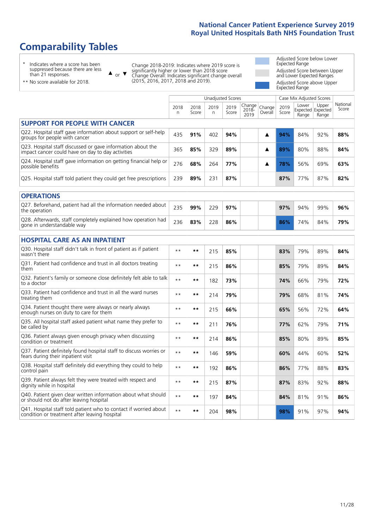# **Comparability Tables**

\* Indicates where a score has been suppressed because there are less than 21 responses.

\*\* No score available for 2018.

 $\triangle$  or  $\nabla$ 

Change 2018-2019: Indicates where 2019 score is significantly higher or lower than 2018 score Change Overall: Indicates significant change overall (2015, 2016, 2017, 2018 and 2019).

Adjusted Score below Lower Expected Range Adjusted Score between Upper and Lower Expected Ranges Adjusted Score above Upper Expected Range

|                                                                                                                   |              |               | Unadjusted Scores |               |                         |                   |               | Case Mix Adjusted Scores |                                     |                   |
|-------------------------------------------------------------------------------------------------------------------|--------------|---------------|-------------------|---------------|-------------------------|-------------------|---------------|--------------------------|-------------------------------------|-------------------|
|                                                                                                                   | 2018<br>n    | 2018<br>Score | 2019<br>n         | 2019<br>Score | Change<br>2018-<br>2019 | Change<br>Overall | 2019<br>Score | Lower<br>Range           | Upper<br>Expected Expected<br>Range | National<br>Score |
| <b>SUPPORT FOR PEOPLE WITH CANCER</b>                                                                             |              |               |                   |               |                         |                   |               |                          |                                     |                   |
| Q22. Hospital staff gave information about support or self-help<br>groups for people with cancer                  | 435          | 91%           | 402               | 94%           |                         | ▲                 | 94%           | 84%                      | 92%                                 | 88%               |
| Q23. Hospital staff discussed or gave information about the<br>impact cancer could have on day to day activities  | 365          | 85%           | 329               | 89%           |                         | ▲                 | 89%           | 80%                      | 88%                                 | 84%               |
| Q24. Hospital staff gave information on getting financial help or<br>possible benefits                            | 276          | 68%           | 264               | 77%           |                         | ▲                 | 78%           | 56%                      | 69%                                 | 63%               |
| Q25. Hospital staff told patient they could get free prescriptions                                                | 239          | 89%           | 231               | 87%           |                         |                   | 87%           | 77%                      | 87%                                 | 82%               |
| <b>OPERATIONS</b>                                                                                                 |              |               |                   |               |                         |                   |               |                          |                                     |                   |
| Q27. Beforehand, patient had all the information needed about<br>the operation                                    | 235          | 99%           | 229               | 97%           |                         |                   | 97%           | 94%                      | 99%                                 | 96%               |
| Q28. Afterwards, staff completely explained how operation had<br>gone in understandable way                       | 236          | 83%           | 228               | 86%           |                         |                   | 86%           | 74%                      | 84%                                 | 79%               |
| <b>HOSPITAL CARE AS AN INPATIENT</b>                                                                              |              |               |                   |               |                         |                   |               |                          |                                     |                   |
| Q30. Hospital staff didn't talk in front of patient as if patient<br>wasn't there                                 | $**$         | $***$         | 215               | 85%           |                         |                   | 83%           | 79%                      | 89%                                 | 84%               |
| Q31. Patient had confidence and trust in all doctors treating<br>them                                             | $\star\star$ | $***$         | 215               | 86%           |                         |                   | 85%           | 79%                      | 89%                                 | 84%               |
| Q32. Patient's family or someone close definitely felt able to talk<br>to a doctor                                | $\star\star$ | $***$         | 182               | 73%           |                         |                   | 74%           | 66%                      | 79%                                 | 72%               |
| Q33. Patient had confidence and trust in all the ward nurses<br>treating them                                     | $* *$        | $***$         | 214               | 79%           |                         |                   | 79%           | 68%                      | 81%                                 | 74%               |
| Q34. Patient thought there were always or nearly always<br>enough nurses on duty to care for them                 | $**$         | $***$         | 215               | 66%           |                         |                   | 65%           | 56%                      | 72%                                 | 64%               |
| Q35. All hospital staff asked patient what name they prefer to<br>be called by                                    | $**$         | $***$         | 211               | 76%           |                         |                   | 77%           | 62%                      | 79%                                 | 71%               |
| Q36. Patient always given enough privacy when discussing<br>condition or treatment                                | $\star\star$ | $***$         | 214               | 86%           |                         |                   | 85%           | 80%                      | 89%                                 | 85%               |
| Q37. Patient definitely found hospital staff to discuss worries or<br>fears during their inpatient visit          | $* *$        | $***$         | 146               | 59%           |                         |                   | 60%           | 44%                      | 60%                                 | 52%               |
| Q38. Hospital staff definitely did everything they could to help<br>control pain                                  | $* *$        | $***$         | 192               | 86%           |                         |                   | 86%           | 77%                      | 88%                                 | 83%               |
| Q39. Patient always felt they were treated with respect and<br>dignity while in hospital                          | $\star\star$ | $***$         | 215               | 87%           |                         |                   | 87%           | 83%                      | 92%                                 | 88%               |
| Q40. Patient given clear written information about what should<br>or should not do after leaving hospital         | $**$         | $***$         | 197               | 84%           |                         |                   | 84%           | 81%                      | 91%                                 | 86%               |
| Q41. Hospital staff told patient who to contact if worried about<br>condition or treatment after leaving hospital | $**$         | $***$         | 204               | 98%           |                         |                   | 98%           | 91%                      | 97%                                 | 94%               |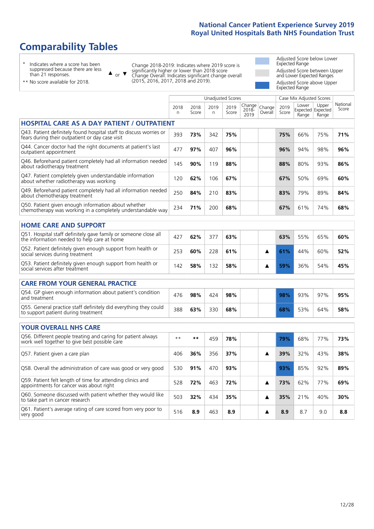# **Comparability Tables**

\* Indicates where a score has been suppressed because there are less than 21 responses.

\*\* No score available for 2018.

 $\triangle$  or  $\nabla$ 

Change 2018-2019: Indicates where 2019 score is significantly higher or lower than 2018 score Change Overall: Indicates significant change overall (2015, 2016, 2017, 2018 and 2019).

Adjusted Score below Lower Expected Range Adjusted Score between Upper and Lower Expected Ranges Adjusted Score above Upper Expected Range

|                                                                                                                       |           |               |            | <b>Unadjusted Scores</b> |                            |                   |               | Case Mix Adjusted Scores            |                |                   |
|-----------------------------------------------------------------------------------------------------------------------|-----------|---------------|------------|--------------------------|----------------------------|-------------------|---------------|-------------------------------------|----------------|-------------------|
|                                                                                                                       | 2018<br>n | 2018<br>Score | 2019<br>n. | 2019<br>Score            | Change<br>$2018 -$<br>2019 | Change<br>Overall | 2019<br>Score | Lower<br>Expected Expected<br>Range | Upper<br>Range | National<br>Score |
| <b>HOSPITAL CARE AS A DAY PATIENT / OUTPATIENT</b>                                                                    |           |               |            |                          |                            |                   |               |                                     |                |                   |
| Q43. Patient definitely found hospital staff to discuss worries or<br>fears during their outpatient or day case visit | 393       | 73%           | 342        | 75%                      |                            |                   | 75%           | 66%                                 | 75%            | 71%               |
| Q44. Cancer doctor had the right documents at patient's last<br>outpatient appointment                                | 477       | 97%           | 407        | 96%                      |                            |                   | 96%           | 94%                                 | 98%            | 96%               |
| Q46. Beforehand patient completely had all information needed<br>about radiotherapy treatment                         | 145       | 90%           | 119        | 88%                      |                            |                   | 88%           | 80%                                 | 93%            | 86%               |
| Q47. Patient completely given understandable information<br>about whether radiotherapy was working                    | 120       | 62%           | 106        | 67%                      |                            |                   | 67%           | 50%                                 | 69%            | 60%               |
| Q49. Beforehand patient completely had all information needed<br>about chemotherapy treatment                         | 250       | 84%           | 210        | 83%                      |                            |                   | 83%           | 79%                                 | 89%            | 84%               |
| Q50. Patient given enough information about whether<br>chemotherapy was working in a completely understandable way    | 234       | 71%           | 200        | 68%                      |                            |                   | 67%           | 61%                                 | 74%            | 68%               |
| <b>HOME CARE AND SUPPORT</b>                                                                                          |           |               |            |                          |                            |                   |               |                                     |                |                   |
| Q51. Hospital staff definitely gave family or someone close all<br>the information needed to help care at home        | 427       | 62%           | 377        | 63%                      |                            |                   | 63%           | 55%                                 | 65%            | 60%               |
| Q52. Patient definitely given enough support from health or<br>social services during treatment                       | 253       | 60%           | 228        | 61%                      |                            | ▲                 | 61%           | 44%                                 | 60%            | 52%               |
| Q53. Patient definitely given enough support from health or<br>social services after treatment                        | 142       | 58%           | 132        | 58%                      |                            | ▲                 | 59%           | 36%                                 | 54%            | 45%               |
| <b>CARE FROM YOUR GENERAL PRACTICE</b>                                                                                |           |               |            |                          |                            |                   |               |                                     |                |                   |
| Q54. GP given enough information about patient's condition<br>and treatment                                           | 476       | 98%           | 424        | 98%                      |                            |                   | 98%           | 93%                                 | 97%            | 95%               |
| Q55. General practice staff definitely did everything they could<br>to support patient during treatment               | 388       | 63%           | 330        | 68%                      |                            |                   | 68%           | 53%                                 | 64%            | 58%               |
| <b>YOUR OVERALL NHS CARE</b>                                                                                          |           |               |            |                          |                            |                   |               |                                     |                |                   |
| Q56. Different people treating and caring for patient always<br>work well together to give best possible care         | $* *$     | $***$         | 459        | 78%                      |                            |                   | 79%           | 68%                                 | 77%            | 73%               |
| Q57. Patient given a care plan                                                                                        | 406       | 36%           | 356        | 37%                      |                            | ▲                 | 39%           | 32%                                 | 43%            | 38%               |
| Q58. Overall the administration of care was good or very good                                                         | 530       | 91%           | 470        | 93%                      |                            |                   | 93%           | 85%                                 | 92%            | 89%               |
| Q59. Patient felt length of time for attending clinics and<br>appointments for cancer was about right                 | 528       | 72%           | 463        | 72%                      |                            | ▲                 | 73%           | 62%                                 | 77%            | 69%               |
| Q60. Someone discussed with patient whether they would like<br>to take part in cancer research                        | 503       | 32%           | 434        | 35%                      |                            | ▲                 | 35%           | 21%                                 | 40%            | 30%               |
| Q61. Patient's average rating of care scored from very poor to<br>very good                                           | 516       | 8.9           | 463        | 8.9                      |                            | ▲                 | 8.9           | 8.7                                 | 9.0            | 8.8               |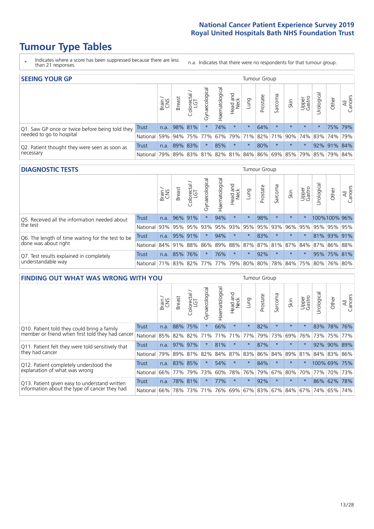# **Tumour Type Tables**

- \* Indicates where a score has been suppressed because there are less than 21 responses.
- n.a. Indicates that there were no respondents for that tumour group.

| <b>SEEING YOUR GP</b>                           |            |              |               |                   |                |                |                  |         | Tumour Group |         |                                         |                 |                                                     |             |                |
|-------------------------------------------------|------------|--------------|---------------|-------------------|----------------|----------------|------------------|---------|--------------|---------|-----------------------------------------|-----------------|-----------------------------------------------------|-------------|----------------|
|                                                 |            | Brain<br>CNS | <b>Breast</b> | Colorectal<br>LGT | Gynaecological | Haematological | Head and<br>Neck | Lung    | Prostate     | Sarcoma | Skin                                    | Upper<br>Gastro | $\overline{\sigma}$<br>Jrologica                    | Other       | All<br>Cancers |
| Q1. Saw GP once or twice before being told they | Trust      |              | n.a. 98% 81%  |                   |                | 74%            | $\star$          | $\star$ | 64%          | $\star$ | $\star$                                 | $\star$         |                                                     | 75% 79%     |                |
| needed to go to hospital                        | National   | 59%          |               |                   |                |                |                  |         |              |         |                                         |                 | 94% 75% 77% 67% 79% 71% 82% 71% 90% 74% 83% 74% 79% |             |                |
| Q2. Patient thought they were seen as soon as   | Trust      | n.a.         |               | 89% 83%           | $\star$        | 85%            | $\star$          | $\star$ | 80%          | $\star$ | $\star$                                 | $\star$         |                                                     | 92% 91% 84% |                |
| necessary                                       | National I | 79%          |               |                   |                |                |                  |         |              |         | 89% 83% 81% 82% 81% 84% 86% 69% 85% 79% |                 | 85% 79% 84%                                         |             |                |

#### **DIAGNOSTIC TESTS** Tumour Group

|                                                   |                                          | Brain<br>CNS | <b>Breast</b> | Colorectal<br>LGT | ᠊ᢛ<br>Gynaecologic | Haematological | Head and<br>Neck | Lung        | Prostate | Sarcoma | Skin    | Upper<br>Gastro | rological                                   | Other       | All<br>Cancers |
|---------------------------------------------------|------------------------------------------|--------------|---------------|-------------------|--------------------|----------------|------------------|-------------|----------|---------|---------|-----------------|---------------------------------------------|-------------|----------------|
| Q5. Received all the information needed about     | <b>Trust</b>                             | n.a.         |               | 96% 91%           | $\star$            | 94%            | $\star$          | $\star$     | 98%      |         | $\star$ | $\star$         | 100%100% 96%                                |             |                |
| the test                                          | National                                 | 93%          |               | 95% 95%           |                    | 93% 95%        |                  | 93% 95% 95% |          | 93%     | 96%     | 95%             | 95%                                         | 95% 95%     |                |
| Q6. The length of time waiting for the test to be | Trust                                    | n.a.         |               | 95% 91%           | $\star$            | 94%            | $\star$          | $\star$     | 83%      | $\star$ | $\star$ | $\star$         |                                             | 81% 93% 91% |                |
| done was about right                              | <b>National</b>                          |              |               | 84% 91% 88%       |                    |                |                  |             |          |         |         |                 | 86% 89% 88% 87% 87% 81% 87% 84% 87% 86% 88% |             |                |
| Q7. Test results explained in completely          | Trust                                    | n.a.         |               | 85% 76%           | $\star$            | 76%            | $\star$          | $\star$     | 92%      | $\star$ | $\star$ | $\star$         |                                             | 95% 75% 81% |                |
| understandable way                                | National 71% 83% 82% 77% 77% 79% 80% 80% |              |               |                   |                    |                |                  |             |          |         |         |                 | 78% 84% 75% 80% 76% 80%                     |             |                |

| <b>FINDING OUT WHAT WAS WRONG WITH YOU</b>        |          |       |               |                             |                |                |                        |             | <b>Tumour Group</b> |         |         |                 |              |         |                |
|---------------------------------------------------|----------|-------|---------------|-----------------------------|----------------|----------------|------------------------|-------------|---------------------|---------|---------|-----------------|--------------|---------|----------------|
|                                                   |          | Brain | <b>Breast</b> | ╮<br>olorectal.<br>LGT<br>Ü | Gynaecological | Haematological | ad and<br>Neck<br>Head | Lung        | Prostate            | Sarcoma | Skin    | Upper<br>Gastro | Jrological   | Other   | All<br>Cancers |
| Q10. Patient told they could bring a family       | Trust    | n.a.  | 88%           | 75%                         | $\star$        | 66%            | $\star$                | $\star$     | 82%                 | $\star$ | $\star$ | $\star$         | 83%          | 78%     | 76%            |
| member or friend when first told they had cancer  | National | 85%   | 82%           | 82%                         | 71%            | 71%            | 71%                    | 77%         | 79%                 | 73%     | 69%     | 76%             | 73%          | 75%     | 77%            |
| Q11. Patient felt they were told sensitively that | Trust    | n.a.  | 97%           | 97%                         |                | 81%            | $\star$                | $\star$     | 87%                 | $\star$ | $\star$ | $\star$         | 92%          | 90%     | 89%            |
| they had cancer                                   | National | 79%   |               | 89% 87%                     | 82%            |                |                        | 84% 87% 83% | 86%                 | 84%     | 89%     | 81%             | 84% 83% 86%  |         |                |
| Q12. Patient completely understood the            | Trust    | n.a.  | 83%           | 85%                         |                | 54%            | $\star$                | $\star$     | 84%                 | $\star$ | $\star$ |                 | 100% 69% 75% |         |                |
| explanation of what was wrong                     | National | 66%   | 77%           | 79%                         | 73%            | 60%            | 78%                    | 76%         | 79%                 | 67%     | 80%     | 70%             | 177%         | 70%     | 73%            |
| Q13. Patient given easy to understand written     | Trust    | n.a.  |               | 78% 81%                     |                | 77%            | $\star$                | $\star$     | 92%                 | $\star$ | $\star$ | $\star$         |              | 86% 62% | 78%            |
| information about the type of cancer they had     | National | 66%   | 78%           | 73%                         | 71%            |                |                        |             | 76% 69% 67% 83% 67% |         | 84%     |                 | 67% 74%      | 65%     | 74%            |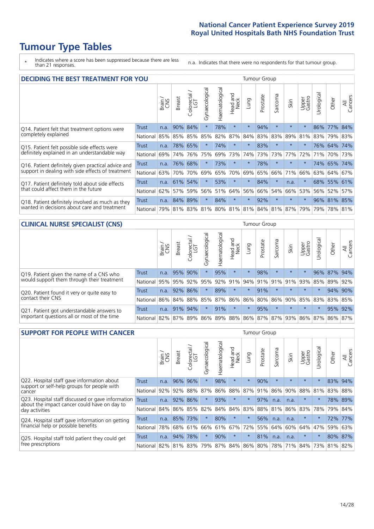# **Tumour Type Tables**

\* Indicates where a score has been suppressed because there are less than 21 responses.

n.a. Indicates that there were no respondents for that tumour group.

| <b>DECIDING THE BEST TREATMENT FOR YOU</b>         |              |       |               |                        |                |                |                        |         | <b>Tumour Group</b> |          |                                     |                 |            |             |                |
|----------------------------------------------------|--------------|-------|---------------|------------------------|----------------|----------------|------------------------|---------|---------------------|----------|-------------------------------------|-----------------|------------|-------------|----------------|
|                                                    |              | Brain | <b>Breast</b> | blorectal.<br>LGT<br>Ũ | Gynaecological | Haematological | ad and<br>Neck<br>Head | Lung    | Prostate            | Sarcoma  | Skin                                | Upper<br>Gastro | Jrological | Other       | All<br>Cancers |
| Q14. Patient felt that treatment options were      | <b>Trust</b> | n.a.  | 90%           | 84%                    | $\star$        | 78%            | $\star$                | $\star$ | 94%                 | $\star$  |                                     | $\star$         |            | 86% 77%     | 84%            |
| completely explained                               | National     | 85%   | 85%           | 85%                    | 85%            | 82%            | 87%                    | 84%     | 83%                 | 83%      | 89%                                 | 81%             |            | 83% 79% 83% |                |
| Q15. Patient felt possible side effects were       | Trust        | n.a.  |               | 78% 65%                | $\star$        | 74%            | $\star$                | $\star$ | 83%                 | $\star$  |                                     | $\star$         |            | 76% 64%     | 74%            |
| definitely explained in an understandable way      | National     | 69%   | 74%           | 76%                    | 75%            | 69%            | 73%                    | 74%     | 73%                 | 73%      | 77%                                 | 72%             | 71%        | 70%         | 73%            |
| Q16. Patient definitely given practical advice and | Trust        | n.a.  | 76%           | 68%                    |                | 73%            | $\star$                | $\star$ | 78%                 | $\star$  | $\star$                             | $\star$         |            | 74% 65%     | 174%           |
| support in dealing with side effects of treatment  | National     | 63%   | 70%           | 70%                    | 69%            | 65%            | 70%                    | 69%     | 65%                 | 66%      | 71%                                 | 66%             |            | 63% 64%     | 67%            |
| Q17. Patient definitely told about side effects    | Trust        | n.a.  | 61%           | 54%                    |                | 53%            | $\star$                | $\star$ | 84%                 | 大        | n.a.                                | $\star$         |            | 68% 55% 61% |                |
| that could affect them in the future               | National     | 62%   | 57%           | 59%                    | 56%            | 51%            | 64%                    | 56%     | 66%                 | 54%      | 66%                                 | 53%             |            | 56% 52%     | 57%            |
| Q18. Patient definitely involved as much as they   | Trust        | n.a.  | 84%           | 89%                    | $\star$        | 84%            | $\star$                | $\star$ | 92%                 | $^\star$ | $\star$                             | $\star$         |            | 96% 81% 85% |                |
| wanted in decisions about care and treatment       | National     | 79%   |               |                        |                |                |                        |         |                     |          | 81% 83% 81% 80% 81% 81% 84% 81% 87% | 79%             |            | 79% 78% 81% |                |

#### **CLINICAL NURSE SPECIALIST (CNS)** Tumour Group

|                                             |              | Brain           | <b>Breast</b>   | Colorectal<br>LGT | Gynaecologica | శా<br>aematologi | Head and<br>Neck | Lung                              | Prostate | Sarcoma | Skin    | Upper<br>Gastro | $\sigma$<br>rologica | Other       | All<br>Cancers |
|---------------------------------------------|--------------|-----------------|-----------------|-------------------|---------------|------------------|------------------|-----------------------------------|----------|---------|---------|-----------------|----------------------|-------------|----------------|
| Q19. Patient given the name of a CNS who    | <b>Trust</b> | n.a.            | 95% 90%         |                   |               | 95%              | $\star$          |                                   | 98%      | $\star$ | $\star$ | $\star$         |                      | 96% 87% 94% |                |
| would support them through their treatment  | National     | 95%             | 95%             | 92%               | 95%           | 92%              | 91%              |                                   | 94% 91%  | 91%     | 91%     | 93%             | 85%                  | 89%         | 92%            |
| Q20. Patient found it very or quite easy to | Trust        | n.a.            | 92% 86%         |                   |               | 89%              | $\star$          | $\star$                           | 91%      | $\star$ | $\star$ | $\star$         |                      |             | 94% 90%        |
| contact their CNS                           | National     |                 | 86% 84% 88% 85% |                   |               | 87%              | 86%              | 86% 80%                           |          |         |         | 86% 90% 85% 83% |                      | 83%         | 85%            |
| Q21. Patient got understandable answers to  | Trust        | n.a.            | 91%             | 94%               |               | 91%              | $\star$          | $\star$                           | 95%      | $\star$ | $\star$ | $\star$         |                      | 95%         | 92%            |
| important questions all or most of the time | National     | 82% 87% 89% 86% |                 |                   |               |                  |                  | 89%   88%   86%   87%   87%   93% |          |         |         | 86% 87%         |                      | 86%         | 87%            |

| <b>SUPPORT FOR PEOPLE WITH CANCER</b>                                                             |              |       |               |            |                |                |                         |         | <b>Tumour Group</b> |         |         |                 |            |       |                |
|---------------------------------------------------------------------------------------------------|--------------|-------|---------------|------------|----------------|----------------|-------------------------|---------|---------------------|---------|---------|-----------------|------------|-------|----------------|
|                                                                                                   |              | Brain | <b>Breast</b> | Colorectal | Gynaecological | Haematological | ead and<br>Neck<br>Head | Lung    | Prostate            | Sarcoma | Skin    | Upper<br>Gastro | Urological | Other | All<br>Cancers |
| Q22. Hospital staff gave information about<br>support or self-help groups for people with         | <b>Trust</b> | n.a.  | 96%           | 96%        | $\star$        | 98%            | $\star$                 | $\star$ | 90%                 | $\star$ | $\star$ | $\star$         | $\star$    | 83%   | 94%            |
| cancer                                                                                            | National     | 92%   | 92%           | 88%        | 87%            | 86%            | 88%                     | 87%     | 91%                 | 86%     | 90%     | 88%             | 81%        | 83%   | 88%            |
| Q23. Hospital staff discussed or gave information<br>about the impact cancer could have on day to | <b>Trust</b> | n.a.  | 92%           | 86%        | $\star$        | 93%            | $\star$                 | $\star$ | 97%                 | n.a.    | n.a.    | $\star$         | $\star$    |       | 78% 89%        |
| day activities                                                                                    | National     | 84%   | 86%           | 85%        | 82%            | 84%            | 84%                     | 83%     | 88%                 | 81%     | 86%     | 83%             | 78%        | 79%   | 84%            |
| Q24. Hospital staff gave information on getting                                                   | Trust        | n.a.  | 85% 73%       |            | $\star$        | 80%            | $\ast$                  | $\star$ | 56%                 | n.a.    | n.a.    | $\star$         | $\star$    | 72%   | 77%            |
| financial help or possible benefits                                                               | National     | 78%   |               | 68% 61%    | 66%            |                | 61% 67%                 | 72%     | 55%                 | 64%     | 60%     | 64%             | 47%        | 59%   | 63%            |
| Q25. Hospital staff told patient they could get                                                   | Trust        | n.a.  | 94%           | 78%        | $\star$        | 90%            | $\star$                 | $\star$ | 81%                 | n.a.    | n.a.    | $\star$         | $\star$    | 80%   | 87%            |
| free prescriptions                                                                                | National I   | 82%   |               | 81% 83%    | 79%            |                | 87% 84% 86% 80%         |         |                     | 78%     | 71%     | 84%             | 73%        | 81%   | 82%            |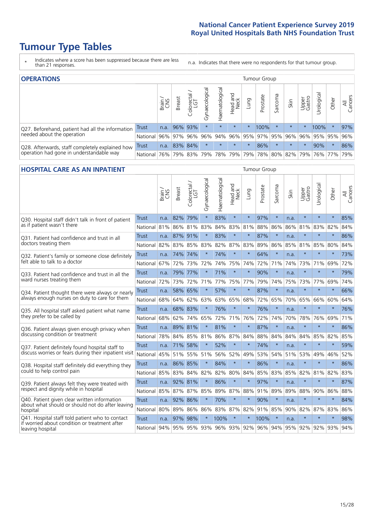# **Tumour Type Tables**

- \* Indicates where a score has been suppressed because there are less than 21 responses.
- n.a. Indicates that there were no respondents for that tumour group.

| <b>OPERATIONS</b>                                |          |       |               |            |                   |                |                  |          | Tumour Group        |         |         |                 |                                  |         |                |
|--------------------------------------------------|----------|-------|---------------|------------|-------------------|----------------|------------------|----------|---------------------|---------|---------|-----------------|----------------------------------|---------|----------------|
|                                                  |          | Brain | <b>Breast</b> | Colorectal | ক<br>Gynaecologic | Haematological | Head and<br>Neck | Lung     | Prostate            | Sarcoma | Skin    | Upper<br>Gastro | $\overline{\sigma}$<br>Irologica | Other   | All<br>Cancers |
| Q27. Beforehand, patient had all the information | Trust    | n.a.  |               | 96% 93%    | $\star$           | $\star$        | $\star$          | $^\star$ | 100%                |         | $\star$ |                 | 100%                             | $\ast$  | 97%            |
| needed about the operation                       | National | 96%   |               | 97% 96%    | $96\%$            | 94%            |                  |          | 96% 95% 97% 95% 96% |         |         | 96%             |                                  | 95% 95% | 96%            |
| Q28. Afterwards, staff completely explained how  | Trust    | n.a.  |               | 83% 84%    | $\star$           | $\star$        | $\star$          | $\star$  | 86%                 | $\star$ | $\star$ | $\star$         | 90%                              | $\star$ | 86%            |
| operation had gone in understandable way         | National | 76%   |               | 79% 83%    |                   |                | 79% 78% 79%      |          | 79% 78% 80% 82% 79% |         |         |                 |                                  | 76% 77% | 79%            |

#### **HOSPITAL CARE AS AN INPATIENT** Tumour Group

|                                                                                                   |              | Brain | Breast       | $\overline{\phantom{0}}$<br>Colorectal /<br>LGT | Gynaecological | Haematological | Head and<br>Neck | Lung    | Prostate                        | Sarcoma | Skin | Upper<br>Gastro | Urological  | Other   | All<br>Cancers |
|---------------------------------------------------------------------------------------------------|--------------|-------|--------------|-------------------------------------------------|----------------|----------------|------------------|---------|---------------------------------|---------|------|-----------------|-------------|---------|----------------|
| Q30. Hospital staff didn't talk in front of patient                                               | <b>Trust</b> | n.a.  | 82%          | 79%                                             | $\star$        | 83%            | $\star$          | $\star$ | 97%                             | $\star$ | n.a. | $\star$         | $\star$     | $\star$ | 85%            |
| as if patient wasn't there                                                                        | National     | 81%   | 86%          | 81%                                             | 83%            | 84%            | 83%              | 81%     | 88%                             | 86%     | 86%  | 81%             | 83%         | 82%     | 84%            |
| O31. Patient had confidence and trust in all                                                      | Trust        | n.a.  | 87% 91%      |                                                 |                | 83%            | $\star$          | $\star$ | 87%                             | $\star$ | n.a. |                 | $\star$     | $\star$ | 86%            |
| doctors treating them                                                                             | National     | 82%   | 83%          | 85%                                             | 83%            | 82%            |                  | 87% 83% | 89%                             | 86%     | 85%  |                 | 81% 85%     | 80%     | 84%            |
| Q32. Patient's family or someone close definitely                                                 | <b>Trust</b> | n.a.  | 74%          | 74%                                             |                | 74%            | $\star$          | $\star$ | 64%                             | $\star$ | n.a. |                 | $\star$     | $\star$ | 73%            |
| felt able to talk to a doctor                                                                     | National     | 67%   | 72%          | 73%                                             | 72%            | 74%            | 75%              | 74%     | 72%                             | 71%     | 74%  | 73%             | 71%         | 69%     | 72%            |
| Q33. Patient had confidence and trust in all the                                                  | <b>Trust</b> | n.a.  |              | 79% 77%                                         |                | 71%            | $\star$          | $\star$ | 90%                             | $\star$ | n.a. | $\star$         | $\star$     | $\star$ | 79%            |
| ward nurses treating them                                                                         | National     | 72%   | 73%          | 72%                                             | 71%            | 77%            |                  | 75% 77% | 79%                             | 74%     | 75%  |                 | 73% 77%     | 69%     | 74%            |
| Q34. Patient thought there were always or nearly<br>always enough nurses on duty to care for them | Trust        | n.a.  | 58% 65%      |                                                 | $\star$        | 57%            | $\star$          | $\star$ | 87%                             | $\star$ | n.a. | $\star$         | $\star$     | $\star$ | 66%            |
|                                                                                                   | National     | 68%   | 64%          | 62%                                             | 63%            | 63%            | 65% 68%          |         | 72%                             | 65%     | 70%  | 65%             | 66%         | 60%     | 64%            |
| Q35. All hospital staff asked patient what name<br>they prefer to be called by                    | <b>Trust</b> | n.a.  | 68% 83%      |                                                 | $\star$        | 76%            | $\star$          | $\star$ | 76%                             | $\star$ | n.a. |                 | $\star$     | $\star$ | 76%            |
|                                                                                                   | National     | 68%   | 62%          | 74%                                             | 65%            | 72%            | 71%              | 76%     | 72%                             | 74%     | 70%  | 78%             | 76%         | 69%     | 71%            |
| Q36. Patient always given enough privacy when                                                     | <b>Trust</b> | n.a.  | 89% 81%      |                                                 |                | 81%            | $\star$          | $\star$ | 87%                             | $\star$ | n.a. |                 | $\star$     | $\star$ | 86%            |
| discussing condition or treatment                                                                 | National     | 78%   |              | 84% 85%                                         | 81%            | 86%            |                  | 87% 84% | 88%                             | 84%     | 84%  | 84%             | 85%         | 82%     | 85%            |
| Q37. Patient definitely found hospital staff to                                                   | <b>Trust</b> | n.a.  |              | 71% 58%                                         |                | 52%            | $\star$          | $\star$ | 74%                             | $\star$ | n.a. |                 | $\star$     | $\star$ | 59%            |
| discuss worries or fears during their inpatient visit                                             | National     | 45%   |              | 51% 55%                                         | 51%            | 56%            |                  | 52% 49% | 53%                             | 54%     | 51%  | 53%             | 49%         | 46%     | 52%            |
| Q38. Hospital staff definitely did everything they                                                | <b>Trust</b> |       | n.a. 86% 85% |                                                 | $\star$        | 84%            | $\star$          | $\star$ | 86%                             | $\star$ | n.a. | $\star$         | $\star$     | $\star$ | 86%            |
| could to help control pain                                                                        | National     | 85%   |              | 83% 84%                                         | 82%            | 82%            |                  | 80% 84% | 85%                             | 83%     | 85%  |                 | 82% 81%     | 82%     | 83%            |
| Q39. Patient always felt they were treated with                                                   | <b>Trust</b> | n.a.  |              | 92% 81%                                         | $\star$        | 86%            | $\star$          | $\star$ | 97%                             | $\star$ | n.a. | $\star$         | $\star$     | $\star$ | 87%            |
| respect and dignity while in hospital                                                             | National     | 85%   | 87%          | 87%                                             | 85%            | 89%            | 87%              | 88%     | 91%                             | 89%     | 89%  | 88%             | 90%         | 86%     | 88%            |
| Q40. Patient given clear written information<br>about what should or should not do after leaving  | Trust        | n.a.  | 92%          | 86%                                             |                | 70%            | $\star$          | $\star$ | 90%                             | $\star$ | n.a. |                 | $\star$     | $\star$ | 84%            |
| hospital                                                                                          | National     | 80%   | 89%          | 86%                                             | 86%            | 83%            |                  | 87% 82% | 91%                             | 85%     | 90%  | 82%             | 87%         | 83%     | 86%            |
| Q41. Hospital staff told patient who to contact<br>if worried about condition or treatment after  | <b>Trust</b> | n.a.  | 97%          | 98%                                             |                | 100%           | $\star$          | $\star$ | 100%                            | $\star$ | n.a. | $\star$         | $\star$     | $\star$ | 98%            |
| leaving hospital                                                                                  | National     | 94%   |              |                                                 |                |                |                  |         | 95% 95% 93% 96% 93% 92% 96% 94% |         |      |                 | 95% 92% 92% | 93%     | 94%            |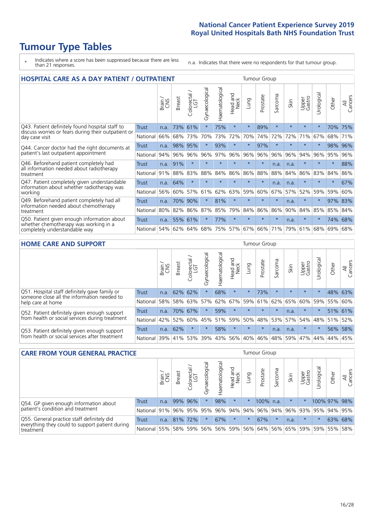# **Tumour Type Tables**

- \* Indicates where a score has been suppressed because there are less than 21 responses.
- n.a. Indicates that there were no respondents for that tumour group.

| <b>HOSPITAL CARE AS A DAY PATIENT / OUTPATIENT</b>                                                                    |              |       |               |                                     |                |                |                        |          |          | <b>Tumour Group</b> |         |                 |            |         |                |  |  |  |
|-----------------------------------------------------------------------------------------------------------------------|--------------|-------|---------------|-------------------------------------|----------------|----------------|------------------------|----------|----------|---------------------|---------|-----------------|------------|---------|----------------|--|--|--|
|                                                                                                                       |              | Brain | <b>Breast</b> | $\frac{\text{Colored}}{\text{LGT}}$ | Gynaecological | Haematological | ad and<br>Neck<br>Head | Lung     | Prostate | Sarcoma             | Skin    | Upper<br>Gastro | Jrological | Other   | All<br>Cancers |  |  |  |
| Q43. Patient definitely found hospital staff to                                                                       | <b>Trust</b> | n.a.  | 73%           | 61%                                 | $^\star$       | 75%            | $\star$                | $\star$  | 89%      | $\star$             | $\star$ | $\star$         | $\star$    | 70%     | 75%            |  |  |  |
| discuss worries or fears during their outpatient or<br>day case visit                                                 | National     | 66%   | 68%           | 73%                                 | 70%            | 73%            | 72%                    | 70%      | 74%      | 72%                 | 72%     | 71%             | 67%        | 68%     | 71%            |  |  |  |
| Q44. Cancer doctor had the right documents at<br>patient's last outpatient appointment                                | Trust        | n.a.  | 98%           | 95%                                 |                | 93%            | $\star$                | $^\star$ | 97%      | $\star$             |         |                 |            | 98%     | 96%            |  |  |  |
|                                                                                                                       | National     | 94%   | 96%           | 96%                                 | 96%            | 97%            | 96%                    | 96%      | 96%      | 96%                 | 96%     | 94%             | 96%        | 95%     | 96%            |  |  |  |
| Q46. Beforehand patient completely had                                                                                | <b>Trust</b> | n.a.  | 91%           | $\star$                             | $\star$        | $\star$        | $\star$                | $\star$  | $\star$  | n.a.                | n.a.    | $\star$         | $\star$    | $\star$ | 88%            |  |  |  |
| all information needed about radiotherapy<br>treatment                                                                | National     | 91%   | 88%           | 83%                                 | 88%            | 84%            | 86%                    | 86%      | 88%      | 88%                 | 84%     | 86%             | 83%        | 84%     | 86%            |  |  |  |
| Q47. Patient completely given understandable                                                                          | <b>Trust</b> | n.a.  | 64%           | $\star$                             |                |                | $\star$                | $\star$  | $\star$  | n.a.                | n.a.    | $\star$         | $\star$    | $\star$ | 67%            |  |  |  |
| information about whether radiotherapy was<br>working                                                                 | National     | 56%   | 60%           | 57%                                 | 61%            | 62%            | 63%                    | 59%      | 60%      | 67%                 | 57%     | 52%             | 59%        | 59%     | 60%            |  |  |  |
| Q49. Beforehand patient completely had all                                                                            | Trust        | n.a.  | 70%           | 90%                                 |                | 81%            | $\star$                | $\star$  | $\star$  | $\star$             | n.a.    | $\star$         | $\star$    | 97%     | 83%            |  |  |  |
| information needed about chemotherapy<br>treatment                                                                    | National     | 80%   | 82%           | 86%                                 | 87%            | 85%            | 79%                    | 84%      | 86%      | 86%                 | 90%     | 84%             | 85%        | 85%     | 84%            |  |  |  |
| Q50. Patient given enough information about<br>whether chemotherapy was working in a<br>completely understandable way | Trust        | n.a.  | 55%           | 61%                                 |                | 77%            | $\star$                | $\star$  | $\star$  | $\star$             | n.a.    | $\star$         | $\star$    | 74%     | 68%            |  |  |  |
|                                                                                                                       | National     | 54%   |               | 62% 64%                             | 68%            | 75%            |                        | 57% 67%  | 66%      | 71%                 | 79%     | 61%             | 68%        | 69%     | 68%            |  |  |  |

### **HOME CARE AND SUPPORT** Tumour Group

|                                                                                                                   |              | Brain | <b>Breast</b> | olorectal<br>LGT<br>Ü | त्त<br>Gynaecologic | Haematological | ad and<br>Neck<br>Head | <b>Dung</b> | Prostate | Sarcoma | Skin    | Upper<br>Gastro | Urological  | Other   | All<br>Cancers |
|-------------------------------------------------------------------------------------------------------------------|--------------|-------|---------------|-----------------------|---------------------|----------------|------------------------|-------------|----------|---------|---------|-----------------|-------------|---------|----------------|
| Q51. Hospital staff definitely gave family or<br>someone close all the information needed to<br>help care at home | <b>Trust</b> | n.a.  | 62% 62%       |                       |                     | 68%            | $\star$                | $\star$     | 73%      | $\star$ | $\star$ | $\star$         | $\star$     | 48% 63% |                |
|                                                                                                                   | National     | 58%   | 58%           | 63%                   | 57%                 |                | 62% 67%                | 59%         | 61%      | 62%     | 65%     | 60% 59%         |             | 55%     | 60%            |
| Q52. Patient definitely given enough support<br>from health or social services during treatment                   | Trust        | n.a.  | 70% 67%       |                       | $\star$             | 59%            | $\star$                | $\star$     | $\star$  | $\star$ | n.a.    | $\star$         | $\star$     | 51% 61% |                |
|                                                                                                                   | National     | 42%   | 52%           | 60%                   |                     | 45% 51%        | 59%                    | 50%         | 48%      |         | 53% 57% |                 | 54% 48% 51% |         | 52%            |
| Q53. Patient definitely given enough support<br>from health or social services after treatment                    | Trust        | n.a.  | 62%           |                       |                     | 58%            | $\star$                | $\star$     | $\star$  | n.a.    | n.a.    | $\star$         | $\star$     | 56%     | 58%            |
|                                                                                                                   | National     | 39%   | 41% 53%       |                       | 39%                 | $ 43\% $       | 56%                    | 40%         | 46%      | 48%     | 59%     | 47%             | 44%         | 44%     | 45%            |

| <b>CARE FROM YOUR GENERAL PRACTICE</b>                                                                     |              |               |               |                   |                | Tumour Group   |                  |         |                                         |         |         |                 |              |         |                |
|------------------------------------------------------------------------------------------------------------|--------------|---------------|---------------|-------------------|----------------|----------------|------------------|---------|-----------------------------------------|---------|---------|-----------------|--------------|---------|----------------|
|                                                                                                            |              | Brain.<br>CNS | <b>Breast</b> | Colorectal<br>LGT | Gynaecological | Haematological | Head and<br>Neck | Lung    | Prostate                                | Sarcoma | Skin    | Upper<br>Gastro | Urological   | Other   | All<br>Cancers |
| Q54. GP given enough information about<br>patient's condition and treatment                                | <b>Trust</b> | n.a.          |               | 99% 96%           | $\star$        | 98%            | $\star$          | $\star$ | 100% n.a.                               |         | $\star$ | $\star$         | 100% 97% 98% |         |                |
|                                                                                                            | National 91% |               |               |                   | 96% 95% 95%    |                |                  |         | 96% 94% 94% 96% 94% 96% 93% 95% 94% 95% |         |         |                 |              |         |                |
| Q55. General practice staff definitely did<br>everything they could to support patient during<br>treatment | Trust        | n.a.          |               | 81% 72%           | $\star$        | 67%            | $\star$          | $\star$ | 67%                                     | $\star$ | n.a.    | $\star$         | $\star$      | 63% 68% |                |
|                                                                                                            | National 55% |               |               | 58% 59%           | 56%            |                |                  |         | 56% 59% 56% 64%                         |         | 56% 65% | 59%             |              | 59% 55% | 58%            |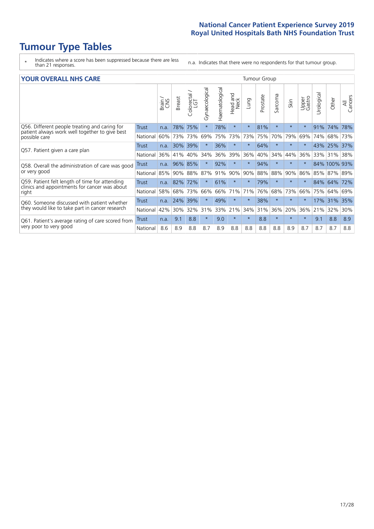# **Tumour Type Tables**

- \* Indicates where a score has been suppressed because there are less than 21 responses.
- n.a. Indicates that there were no respondents for that tumour group.

| <b>YOUR OVERALL NHS CARE</b> |  |  |
|------------------------------|--|--|
|------------------------------|--|--|

| <b>YOUR OVERALL NHS CARE</b>                                                                    |              |       |               |            |                |                |                         |         | <b>Tumour Group</b> |         |         |                 |            |              |                |  |  |
|-------------------------------------------------------------------------------------------------|--------------|-------|---------------|------------|----------------|----------------|-------------------------|---------|---------------------|---------|---------|-----------------|------------|--------------|----------------|--|--|
|                                                                                                 |              | Brain | <b>Breast</b> | Colorectal | Gynaecological | Haematological | aad and<br>Neck<br>Head | Lung    | Prostate            | Sarcoma | Skin    | Upper<br>Gastro | Jrological | Other        | All<br>Cancers |  |  |
| Q56. Different people treating and caring for<br>patient always work well together to give best | <b>Trust</b> | n.a.  | 78%           | 75%        | $\star$        | 78%            | $\star$                 | $\star$ | 81%                 | $\star$ | $\star$ | $\star$         | 91%        | 74%          | 78%            |  |  |
| possible care                                                                                   | National     | 60%   | 73%           | 73%        | 69%            | 75%            | 73%                     | 73%     | 75%                 | 70%     | 79%     | 69%             | 74%        | 68%          | 73%            |  |  |
| Q57. Patient given a care plan                                                                  | Trust        | n.a.  | $30\%$        | 39%        |                | 36%            | $\star$                 | $\star$ | 64%                 | $\star$ |         |                 |            | 43% 25%      | 37%            |  |  |
|                                                                                                 | National     | 36%   | 41%           | 40%        | 34%            | 36%            | 39%                     | 36%     | 40%                 | 34%     | 44%     | 36%             |            | 33% 31% 38%  |                |  |  |
| Q58. Overall the administration of care was good                                                | Trust        | n.a.  | 96%           | 85%        |                | 92%            | $\star$                 | $\star$ | 94%                 | $\star$ |         | $\star$         |            | 84% 100% 93% |                |  |  |
| or very good                                                                                    | National     | 85%   | 90%           | 88%        | 87%            | 91%            | 90%                     | 90%     | 88%                 | 88%     | 90%     | 86%             | 85%        | 87%          | 89%            |  |  |
| Q59. Patient felt length of time for attending<br>clinics and appointments for cancer was about | Trust        | n.a.  | 82%           | 72%        |                | 61%            | $\star$                 | $\star$ | 79%                 | $\star$ | $\star$ |                 | 84%        | 64%          | 72%            |  |  |
| right                                                                                           | National     | 58%   | 68% 73%       |            | 66%            |                | 66% 71%                 | 71%     | 76%                 | 68%     | 73%     | 66%             |            | 75% 64%      | 69%            |  |  |
| Q60. Someone discussed with patient whether                                                     | Trust        | n.a.  | 24%           | 39%        |                | 49%            | $\star$                 | $\star$ | 38%                 | $\star$ | $\star$ | $\star$         | 17%        | 31%          | 35%            |  |  |
| they would like to take part in cancer research                                                 | National     | 42%   | 30%           | 32%        | 31%            | 33% 21%        |                         | 34%     | 31%                 | 36%     | 20%     | 36%             | 21%        | 32%          | 30%            |  |  |
| Q61. Patient's average rating of care scored from<br>very poor to very good                     | Trust        | n.a.  | 9.1           | 8.8        | $\star$        | 9.0            | $\star$                 | $\star$ | 8.8                 | $\star$ | $\star$ | $\star$         | 9.1        | 8.8          | 8.9            |  |  |
|                                                                                                 | National     | 8.6   | 8.9           | 8.8        | 8.7            | 8.9            | 8.8                     | 8.8     | 8.8                 | 8.8     | 8.9     | 8.7             | 8.7        | 8.7          | 8.8            |  |  |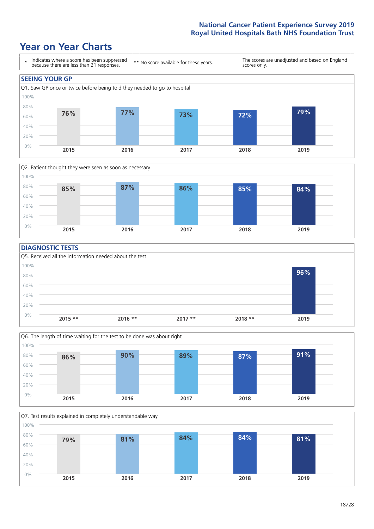### **Year on Year Charts**





#### **DIAGNOSTIC TESTS**





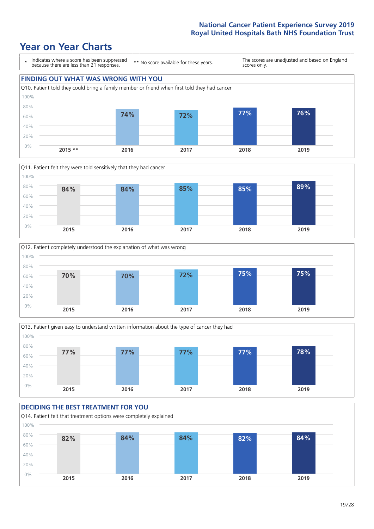### **Year on Year Charts**









### **DECIDING THE BEST TREATMENT FOR YOU** Q14. Patient felt that treatment options were completely explained 0% 20% 40% 60% 80% 100% **2015 2016 2017 2018 2019 82% 84% 84% 82% 84%**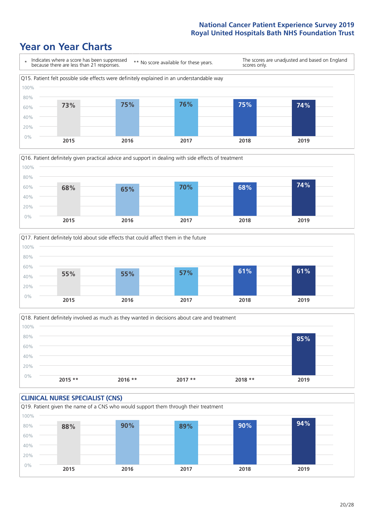





Q18. Patient definitely involved as much as they wanted in decisions about care and treatment  $0%$ 20% 40% 60% 80% 100% **2015 \*\* 2016 \*\* 2017 \*\* 2018 \*\* 2019 85%**

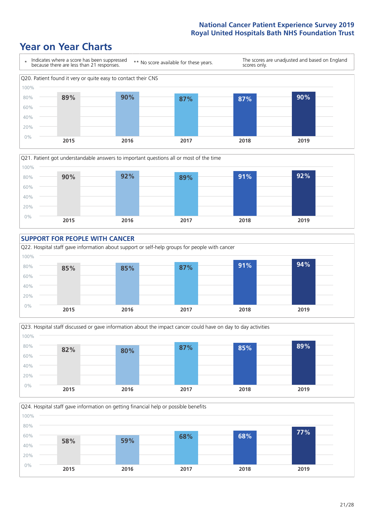







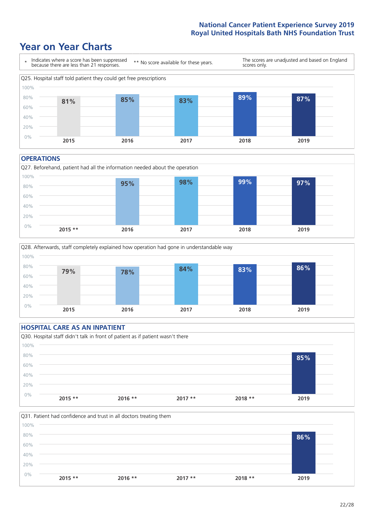### **Year on Year Charts**



#### **OPERATIONS**





### **HOSPITAL CARE AS AN INPATIENT** Q30. Hospital staff didn't talk in front of patient as if patient wasn't there 0% 20% 40% 60% 80% 100% **2015 \*\* 2016 \*\* 2017 \*\* 2018 \*\* 2019 85%**

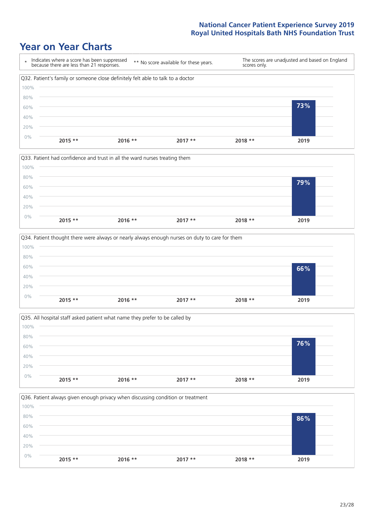







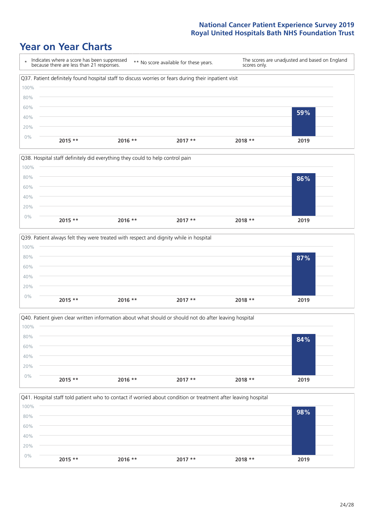







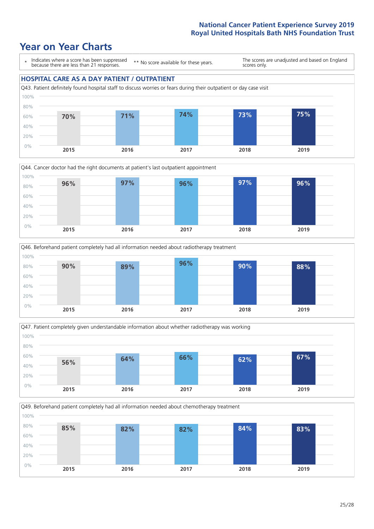







Q49. Beforehand patient completely had all information needed about chemotherapy treatment 100%

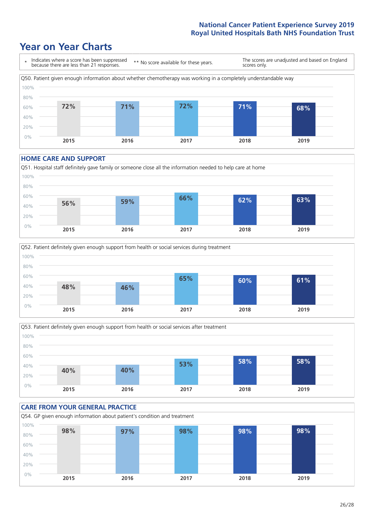### **Year on Year Charts**



#### **HOME CARE AND SUPPORT**







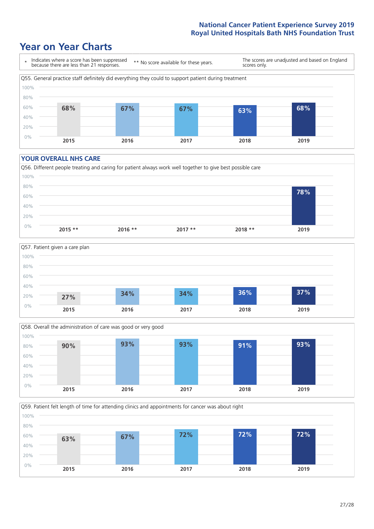### **Year on Year Charts**



#### **YOUR OVERALL NHS CARE**







Q59. Patient felt length of time for attending clinics and appointments for cancer was about right 0% 20% 40% 60% 80% 100% **2015 2016 2017 2018 2019 63% 67% 72% 72% 72%**